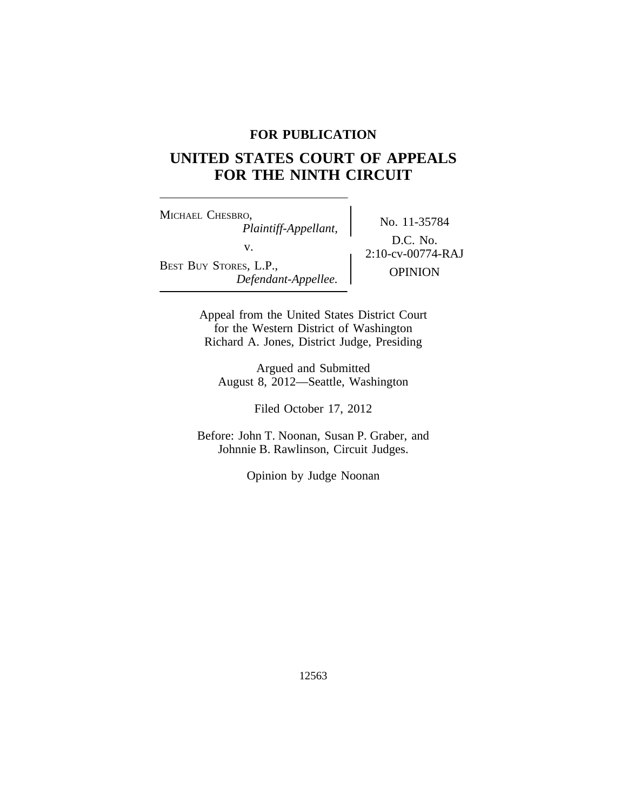### **FOR PUBLICATION**

# **UNITED STATES COURT OF APPEALS FOR THE NINTH CIRCUIT**

<sup>M</sup>ICHAEL CHESBRO, No. 11-35784 *Plaintiff-Appellant,* v.  $2:10$ -cv-00774-RAJ BEST BUY STORES, L.P.,<br>Defendant-Appellee. **Definition** 

D.C. No.

Appeal from the United States District Court for the Western District of Washington Richard A. Jones, District Judge, Presiding

Argued and Submitted August 8, 2012—Seattle, Washington

Filed October 17, 2012

Before: John T. Noonan, Susan P. Graber, and Johnnie B. Rawlinson, Circuit Judges.

Opinion by Judge Noonan

12563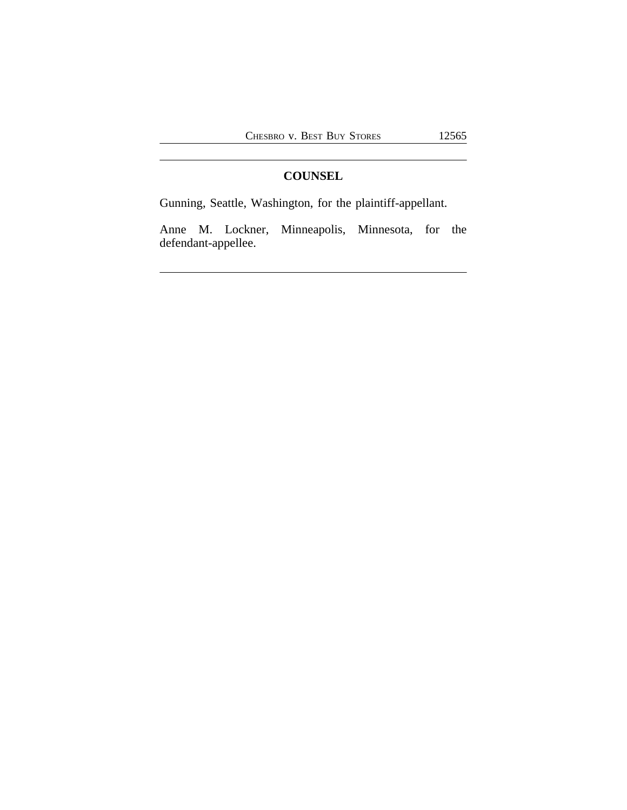## **COUNSEL**

Gunning, Seattle, Washington, for the plaintiff-appellant.

Anne M. Lockner, Minneapolis, Minnesota, for the defendant-appellee.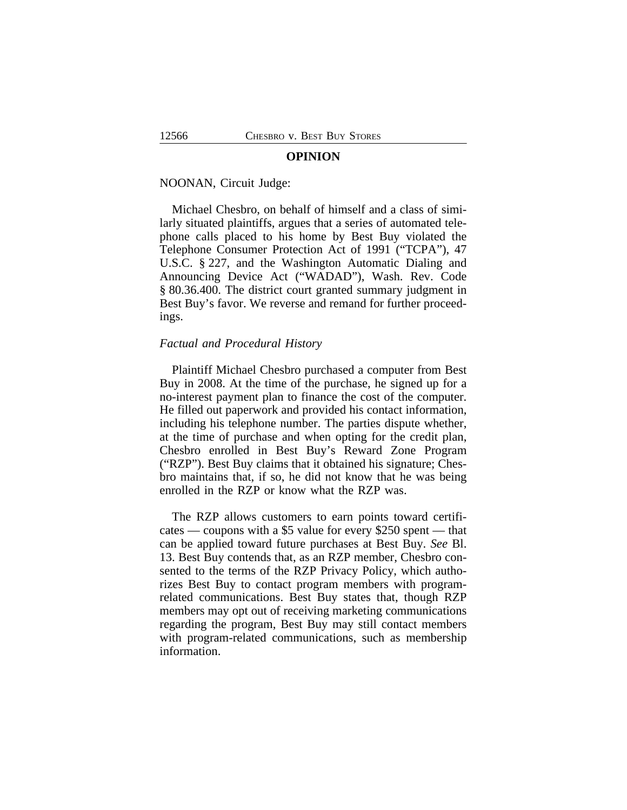#### **OPINION**

#### NOONAN, Circuit Judge:

Michael Chesbro, on behalf of himself and a class of similarly situated plaintiffs, argues that a series of automated telephone calls placed to his home by Best Buy violated the Telephone Consumer Protection Act of 1991 ("TCPA"), 47 U.S.C. § 227, and the Washington Automatic Dialing and Announcing Device Act ("WADAD"), Wash. Rev. Code § 80.36.400. The district court granted summary judgment in Best Buy's favor. We reverse and remand for further proceedings.

#### *Factual and Procedural History*

Plaintiff Michael Chesbro purchased a computer from Best Buy in 2008. At the time of the purchase, he signed up for a no-interest payment plan to finance the cost of the computer. He filled out paperwork and provided his contact information, including his telephone number. The parties dispute whether, at the time of purchase and when opting for the credit plan, Chesbro enrolled in Best Buy's Reward Zone Program ("RZP"). Best Buy claims that it obtained his signature; Chesbro maintains that, if so, he did not know that he was being enrolled in the RZP or know what the RZP was.

The RZP allows customers to earn points toward certificates — coupons with a \$5 value for every \$250 spent — that can be applied toward future purchases at Best Buy. *See* Bl. 13. Best Buy contends that, as an RZP member, Chesbro consented to the terms of the RZP Privacy Policy, which authorizes Best Buy to contact program members with programrelated communications. Best Buy states that, though RZP members may opt out of receiving marketing communications regarding the program, Best Buy may still contact members with program-related communications, such as membership information.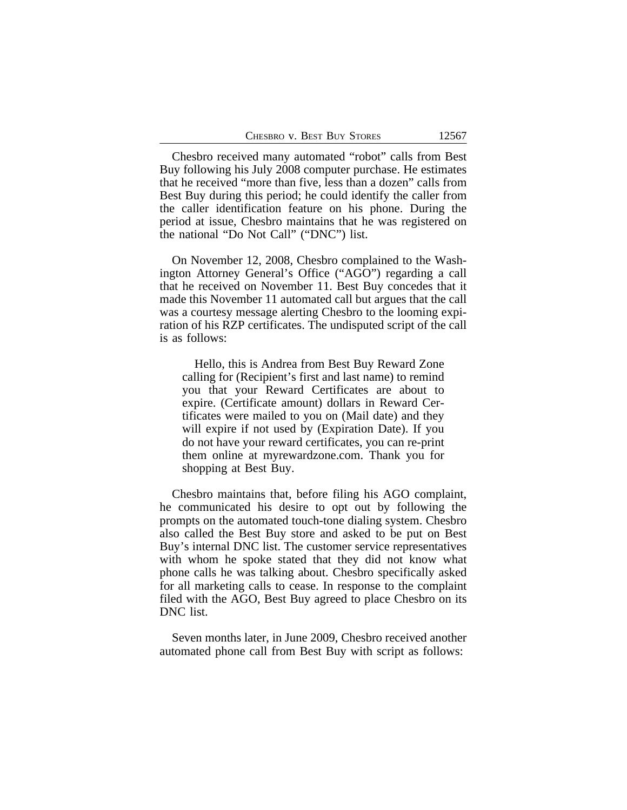Chesbro received many automated "robot" calls from Best Buy following his July 2008 computer purchase. He estimates that he received "more than five, less than a dozen" calls from Best Buy during this period; he could identify the caller from the caller identification feature on his phone. During the period at issue, Chesbro maintains that he was registered on the national "Do Not Call" ("DNC") list.

On November 12, 2008, Chesbro complained to the Washington Attorney General's Office ("AGO") regarding a call that he received on November 11. Best Buy concedes that it made this November 11 automated call but argues that the call was a courtesy message alerting Chesbro to the looming expiration of his RZP certificates. The undisputed script of the call is as follows:

Hello, this is Andrea from Best Buy Reward Zone calling for (Recipient's first and last name) to remind you that your Reward Certificates are about to expire. (Certificate amount) dollars in Reward Certificates were mailed to you on (Mail date) and they will expire if not used by (Expiration Date). If you do not have your reward certificates, you can re-print them online at myrewardzone.com. Thank you for shopping at Best Buy.

Chesbro maintains that, before filing his AGO complaint, he communicated his desire to opt out by following the prompts on the automated touch-tone dialing system. Chesbro also called the Best Buy store and asked to be put on Best Buy's internal DNC list. The customer service representatives with whom he spoke stated that they did not know what phone calls he was talking about. Chesbro specifically asked for all marketing calls to cease. In response to the complaint filed with the AGO, Best Buy agreed to place Chesbro on its DNC list.

Seven months later, in June 2009, Chesbro received another automated phone call from Best Buy with script as follows: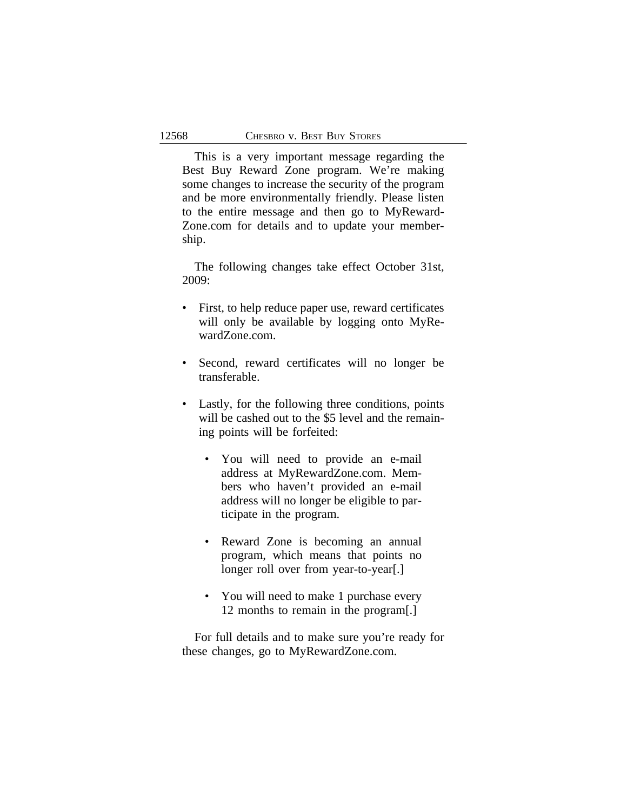This is a very important message regarding the Best Buy Reward Zone program. We're making some changes to increase the security of the program and be more environmentally friendly. Please listen to the entire message and then go to MyReward-Zone.com for details and to update your membership.

The following changes take effect October 31st, 2009:

- First, to help reduce paper use, reward certificates will only be available by logging onto MyRewardZone.com.
- Second, reward certificates will no longer be transferable.
- Lastly, for the following three conditions, points will be cashed out to the \$5 level and the remaining points will be forfeited:
	- You will need to provide an e-mail address at MyRewardZone.com. Members who haven't provided an e-mail address will no longer be eligible to participate in the program.
	- Reward Zone is becoming an annual program, which means that points no longer roll over from year-to-year.
	- You will need to make 1 purchase every 12 months to remain in the program[.]

For full details and to make sure you're ready for these changes, go to MyRewardZone.com.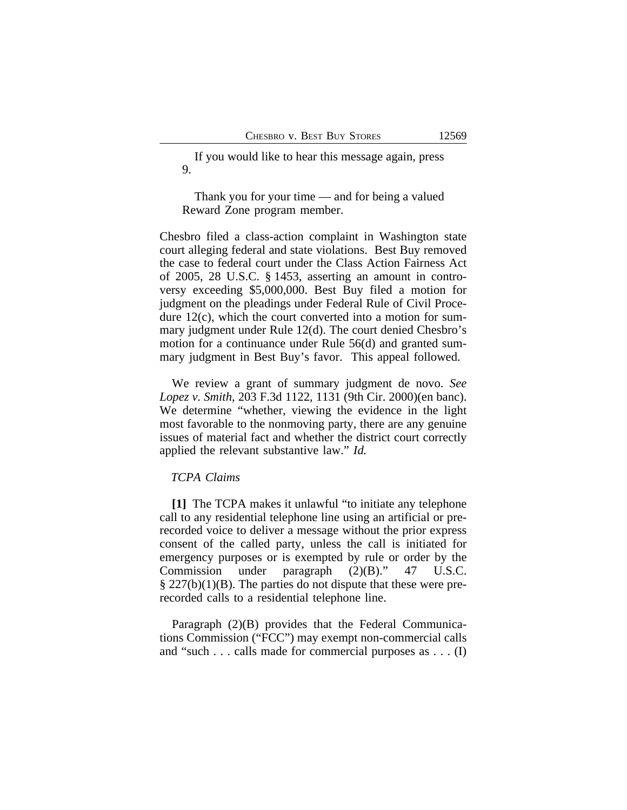If you would like to hear this message again, press 9.

Thank you for your time — and for being a valued Reward Zone program member.

Chesbro filed a class-action complaint in Washington state court alleging federal and state violations. Best Buy removed the case to federal court under the Class Action Fairness Act of 2005, 28 U.S.C. § 1453, asserting an amount in controversy exceeding \$5,000,000. Best Buy filed a motion for judgment on the pleadings under Federal Rule of Civil Procedure 12(c), which the court converted into a motion for summary judgment under Rule 12(d). The court denied Chesbro's motion for a continuance under Rule 56(d) and granted summary judgment in Best Buy's favor. This appeal followed.

We review a grant of summary judgment de novo. *See Lopez v. Smith*, 203 F.3d 1122, 1131 (9th Cir. 2000)(en banc). We determine "whether, viewing the evidence in the light most favorable to the nonmoving party, there are any genuine issues of material fact and whether the district court correctly applied the relevant substantive law." *Id.*

#### *TCPA Claims*

**[1]** The TCPA makes it unlawful "to initiate any telephone call to any residential telephone line using an artificial or prerecorded voice to deliver a message without the prior express consent of the called party, unless the call is initiated for emergency purposes or is exempted by rule or order by the Commission under paragraph (2)(B)." 47 U.S.C.  $\S 227(b)(1)(B)$ . The parties do not dispute that these were prerecorded calls to a residential telephone line.

Paragraph (2)(B) provides that the Federal Communications Commission ("FCC") may exempt non-commercial calls and "such . . . calls made for commercial purposes as . . . (I)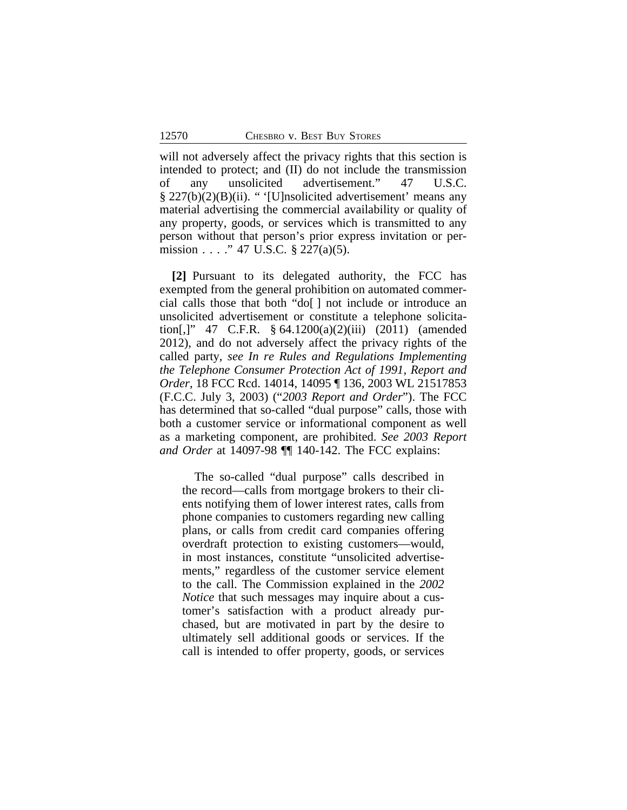will not adversely affect the privacy rights that this section is intended to protect; and (II) do not include the transmission of any unsolicited advertisement." 47 U.S.C. § 227(b)(2)(B)(ii). " '[U]nsolicited advertisement' means any material advertising the commercial availability or quality of any property, goods, or services which is transmitted to any person without that person's prior express invitation or permission . . . . " 47 U.S.C. § 227(a)(5).

**[2]** Pursuant to its delegated authority, the FCC has exempted from the general prohibition on automated commercial calls those that both "do[ ] not include or introduce an unsolicited advertisement or constitute a telephone solicitation[,]" 47 C.F.R. § 64.1200(a)(2)(iii) (2011) (amended 2012), and do not adversely affect the privacy rights of the called party, *see In re Rules and Regulations Implementing the Telephone Consumer Protection Act of 1991, Report and Order*, 18 FCC Rcd. 14014, 14095 ¶ 136, 2003 WL 21517853 (F.C.C. July 3, 2003) ("*2003 Report and Order*"). The FCC has determined that so-called "dual purpose" calls, those with both a customer service or informational component as well as a marketing component, are prohibited. *See 2003 Report and Order* at 14097-98 ¶¶ 140-142. The FCC explains:

The so-called "dual purpose" calls described in the record—calls from mortgage brokers to their clients notifying them of lower interest rates, calls from phone companies to customers regarding new calling plans, or calls from credit card companies offering overdraft protection to existing customers—would, in most instances, constitute "unsolicited advertisements," regardless of the customer service element to the call. The Commission explained in the *2002 Notice* that such messages may inquire about a customer's satisfaction with a product already purchased, but are motivated in part by the desire to ultimately sell additional goods or services. If the call is intended to offer property, goods, or services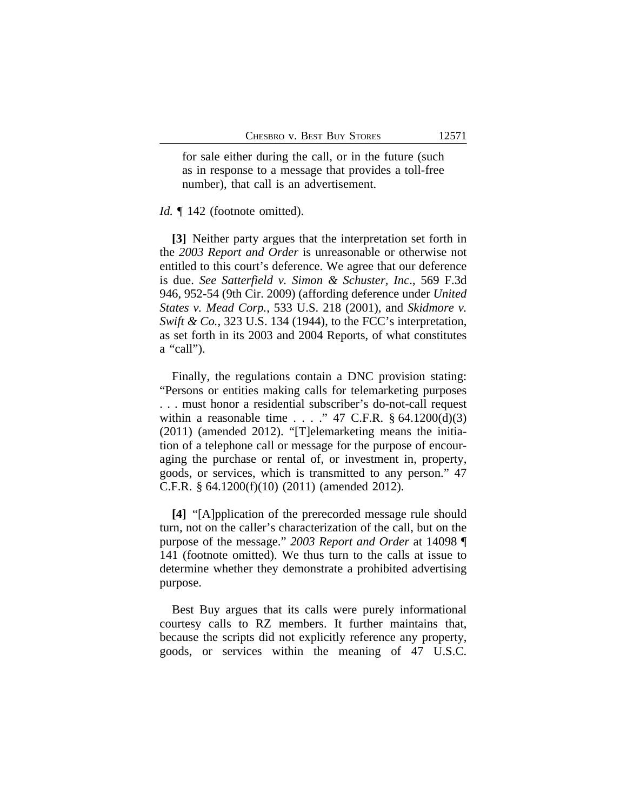for sale either during the call, or in the future (such as in response to a message that provides a toll-free number), that call is an advertisement.

#### *Id.*  $\llbracket$  142 (footnote omitted).

**[3]** Neither party argues that the interpretation set forth in the *2003 Report and Order* is unreasonable or otherwise not entitled to this court's deference. We agree that our deference is due. *See Satterfield v. Simon & Schuster, Inc*., 569 F.3d 946, 952-54 (9th Cir. 2009) (affording deference under *United States v. Mead Corp.*, 533 U.S. 218 (2001), and *Skidmore v. Swift & Co.*, 323 U.S. 134 (1944), to the FCC's interpretation, as set forth in its 2003 and 2004 Reports, of what constitutes a "call").

Finally, the regulations contain a DNC provision stating: "Persons or entities making calls for telemarketing purposes . . . must honor a residential subscriber's do-not-call request within a reasonable time  $\ldots$  . . . . . . 47 C.F.R. § 64.1200(d)(3) (2011) (amended 2012). "[T]elemarketing means the initiation of a telephone call or message for the purpose of encouraging the purchase or rental of, or investment in, property, goods, or services, which is transmitted to any person." 47 C.F.R. § 64.1200(f)(10) (2011) (amended 2012).

**[4]** "[A]pplication of the prerecorded message rule should turn, not on the caller's characterization of the call, but on the purpose of the message." *2003 Report and Order* at 14098 ¶ 141 (footnote omitted). We thus turn to the calls at issue to determine whether they demonstrate a prohibited advertising purpose.

Best Buy argues that its calls were purely informational courtesy calls to RZ members. It further maintains that, because the scripts did not explicitly reference any property, goods, or services within the meaning of 47 U.S.C.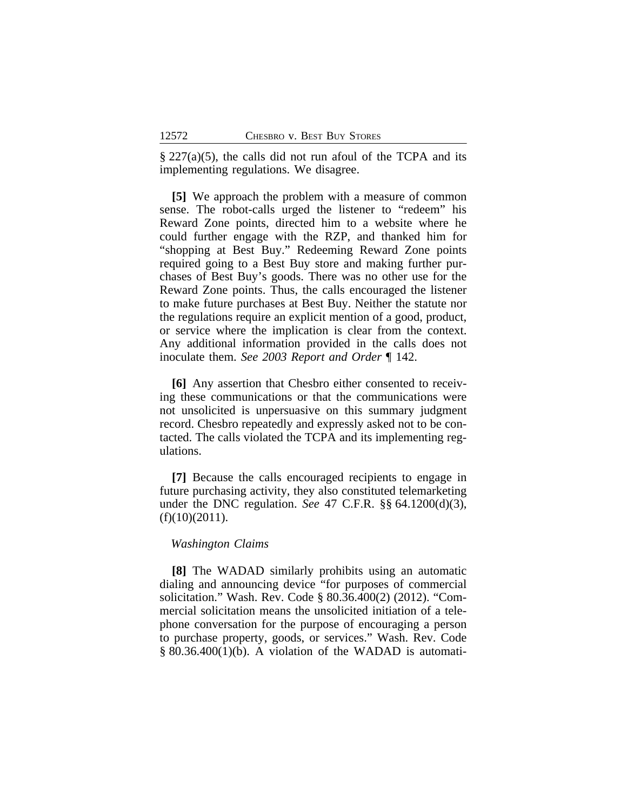$\S 227(a)(5)$ , the calls did not run afoul of the TCPA and its implementing regulations. We disagree.

**[5]** We approach the problem with a measure of common sense. The robot-calls urged the listener to "redeem" his Reward Zone points, directed him to a website where he could further engage with the RZP, and thanked him for "shopping at Best Buy." Redeeming Reward Zone points required going to a Best Buy store and making further purchases of Best Buy's goods. There was no other use for the Reward Zone points. Thus, the calls encouraged the listener to make future purchases at Best Buy. Neither the statute nor the regulations require an explicit mention of a good, product, or service where the implication is clear from the context. Any additional information provided in the calls does not inoculate them. *See 2003 Report and Order* ¶ 142.

**[6]** Any assertion that Chesbro either consented to receiving these communications or that the communications were not unsolicited is unpersuasive on this summary judgment record. Chesbro repeatedly and expressly asked not to be contacted. The calls violated the TCPA and its implementing regulations.

**[7]** Because the calls encouraged recipients to engage in future purchasing activity, they also constituted telemarketing under the DNC regulation. *See* 47 C.F.R. §§ 64.1200(d)(3),  $(f)(10)(2011)$ .

#### *Washington Claims*

**[8]** The WADAD similarly prohibits using an automatic dialing and announcing device "for purposes of commercial solicitation." Wash. Rev. Code § 80.36.400(2) (2012). "Commercial solicitation means the unsolicited initiation of a telephone conversation for the purpose of encouraging a person to purchase property, goods, or services." Wash. Rev. Code § 80.36.400(1)(b). A violation of the WADAD is automati